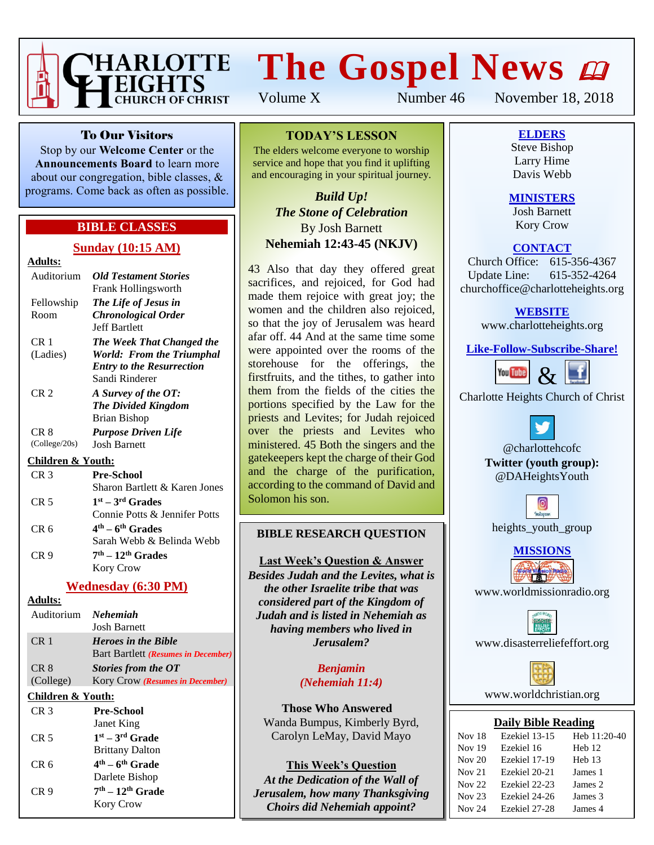

# **The Gospel News**

Volume X Number 46 November 18, 2018

To Our Visitors

Stop by our **Welcome Center** or the **Announcements Board** to learn more about our congregation, bible classes, & programs. Come back as often as possible.

### **BIBLE CLASSES**

#### **Sunday (10:15 AM)**

### **Adults:**

| Auditorium            | <b>Old Testament Stories</b><br><b>Frank Hollingsworth</b>                                                   |
|-----------------------|--------------------------------------------------------------------------------------------------------------|
| Fellowship<br>Room    | The Life of Jesus in<br><b>Chronological Order</b><br><b>Jeff Bartlett</b>                                   |
| CR 1<br>(Ladies)      | The Week That Changed the<br>World: From the Triumphal<br><b>Entry to the Resurrection</b><br>Sandi Rinderer |
| CR 2                  | A Survey of the OT:<br><b>The Divided Kingdom</b><br>Brian Bishop                                            |
| CR 8<br>(College/20s) | <b>Purpose Driven Life</b><br><b>Josh Barnett</b>                                                            |

#### **Children & Youth:**

| CR <sub>3</sub> | <b>Pre-School</b>             |
|-----------------|-------------------------------|
|                 | Sharon Bartlett & Karen Jones |
| CR <sub>5</sub> | $1st - 3rd$ Grades            |
|                 | Connie Potts & Jennifer Potts |
| CR <sub>6</sub> | $4th - 6th$ Grades            |
|                 | Sarah Webb & Belinda Webb     |
| CR <sub>9</sub> | $7th - 12th$ Grades           |
|                 | Kory Crow                     |

### **Wednesday (6:30 PM)**

**Adults:**

| Auditorium Nehemiah | <b>Josh Barnett</b>                 |
|---------------------|-------------------------------------|
| CR <sub>1</sub>     | <b>Heroes in the Bible</b>          |
|                     | Bart Bartlett (Resumes in December) |
| CR <sub>8</sub>     | Stories from the OT                 |
| (College)           | Kory Crow (Resumes in December)     |
|                     |                                     |

### **Children & Youth:**

| CR <sub>3</sub> | <b>Pre-School</b>      |
|-----------------|------------------------|
|                 | Janet King             |
| CR <sub>5</sub> | $1st - 3rd$ Grade      |
|                 | <b>Brittany Dalton</b> |
| CR <sub>6</sub> | $4th - 6th$ Grade      |
|                 | Darlete Bishop         |
| CR <sub>9</sub> | $7th - 12th$ Grade     |
|                 | <b>Kory Crow</b>       |

### **TODAY'S LESSON**

The elders welcome everyone to worship service and hope that you find it uplifting and encouraging in your spiritual journey.

*Build Up! The Stone of Celebration* By Josh Barnett **Nehemiah 12:43-45 (NKJV)**

43 Also that day they offered great sacrifices, and rejoiced, for God had made them rejoice with great joy; the women and the children also rejoiced, so that the joy of Jerusalem was heard afar off. 44 And at the same time some were appointed over the rooms of the storehouse for the offerings, the firstfruits, and the tithes, to gather into them from the fields of the cities the portions specified by the Law for the priests and Levites; for Judah rejoiced over the priests and Levites who ministered. 45 Both the singers and the gatekeepers kept the charge of their God and the charge of the purification, according to the command of David and Solomon his son.

### **BIBLE RESEARCH QUESTION**

#### **Last Week's Question & Answer**

*Besides Judah and the Levites, what is the other Israelite tribe that was considered part of the Kingdom of Judah and is listed in Nehemiah as having members who lived in Jerusalem?*

> *Benjamin (Nehemiah 11:4)*

**Those Who Answered** Wanda Bumpus, Kimberly Byrd, Carolyn LeMay, David Mayo

**This Week's Question** *At the Dedication of the Wall of Jerusalem, how many Thanksgiving Choirs did Nehemiah appoint?*

**ELDERS** Steve Bishop

Larry Hime Davis Webb

### **MINISTERS**

Josh Barnett Kory Crow

### **CONTACT**

Church Office: 615-356-4367 Update Line: 615-352-4264 churchoffice@charlotteheights.org

### **WEBSITE**

[www.charlotteheights.org](http://www.charlotteheights.org/)

**Like-Follow-Subscribe-Share!**



Charlotte Heights Church of Christ

@charlottehcofc **Twitter (youth group):** @DAHeightsYouth



heights\_youth\_group



www.worldmissionradio.org

[www.disasterreliefeffort.org](http://www.disasterreliefeffort.org/)



[www.worldchristian.org](http://www.worldchristian.org/)

### **Daily Bible Reading**

| <b>Nov</b> 18 | Ezekiel 13-15 | Heb 11:20-40      |
|---------------|---------------|-------------------|
| <b>Nov 19</b> | Ezekiel 16    | Heh <sub>12</sub> |
| Nov $20$      | Ezekiel 17-19 | Heb <sub>13</sub> |
| Nov $21$      | Ezekiel 20-21 | James 1           |
| Nov 22        | Ezekiel 22-23 | James 2           |
| Nov $23$      | Ezekiel 24-26 | James 3           |
| Nov 24        | Ezekiel 27-28 | James 4           |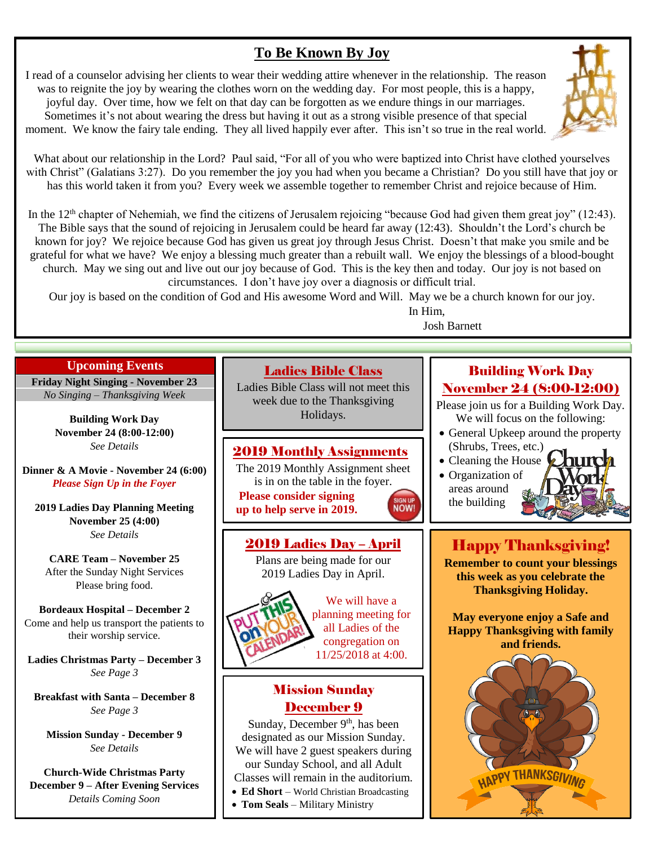### **To Be Known By Joy**

I read of a counselor advising her clients to wear their wedding attire whenever in the relationship. The reason was to reignite the joy by wearing the clothes worn on the wedding day. For most people, this is a happy, joyful day. Over time, how we felt on that day can be forgotten as we endure things in our marriages. Sometimes it's not about wearing the dress but having it out as a strong visible presence of that special moment. We know the fairy tale ending. They all lived happily ever after. This isn't so true in the real world.



What about our relationship in the Lord? Paul said, "For all of you who were baptized into Christ have clothed yourselves with Christ" (Galatians 3:27). Do you remember the joy you had when you became a Christian? Do you still have that joy or has this world taken it from you? Every week we assemble together to remember Christ and rejoice because of Him.

In the  $12<sup>th</sup>$  chapter of Nehemiah, we find the citizens of Jerusalem rejoicing "because God had given them great joy" (12:43). The Bible says that the sound of rejoicing in Jerusalem could be heard far away (12:43). Shouldn't the Lord's church be known for joy? We rejoice because God has given us great joy through Jesus Christ. Doesn't that make you smile and be grateful for what we have? We enjoy a blessing much greater than a rebuilt wall. We enjoy the blessings of a blood-bought church. May we sing out and live out our joy because of God. This is the key then and today. Our joy is not based on circumstances. I don't have joy over a diagnosis or difficult trial.

Our joy is based on the condition of God and His awesome Word and Will. May we be a church known for our joy.

In Him,

#### Josh Barnett

### **Upcoming Events**

**Friday Night Singing - November 23** *No Singing – Thanksgiving Week*

> **Building Work Day November 24 (8:00-12:00)** *See Details*

**Dinner & A Movie - November 24 (6:00)** *Please Sign Up in the Foyer*

**2019 Ladies Day Planning Meeting November 25 (4:00)** *See Details*

**CARE Team – November 25** After the Sunday Night Services Please bring food.

**Bordeaux Hospital – December 2** Come and help us transport the patients to their worship service.

**Ladies Christmas Party – December 3** *See Page 3*

**Breakfast with Santa – December 8** *See Page 3*

**Mission Sunday - December 9** *See Details*

**Church-Wide Christmas Party December 9 – After Evening Services** *Details Coming Soon*

### Ladies Bible Class

Ladies Bible Class will not meet this week due to the Thanksgiving Holidays.

### 2019 Monthly Assignments

The 2019 Monthly Assignment sheet is in on the table in the foyer. **Please consider signing up to help serve in 2019.**



# 2019 Ladies Day – April

Plans are being made for our 2019 Ladies Day in April.



We will have a planning meeting for all Ladies of the congregation on 11/25/2018 at 4:00.

### Mission Sunday December 9

Sunday, December 9<sup>th</sup>, has been designated as our Mission Sunday. We will have 2 guest speakers during our Sunday School, and all Adult Classes will remain in the auditorium. • **Ed Short** – World Christian Broadcasting

• **Tom Seals** – Military Ministry

### Building Work Day November 24 (8:00-12:00)

Please join us for a Building Work Day. We will focus on the following:

- General Upkeep around the property (Shrubs, Trees, etc.)
- Cleaning the House
- Organization of areas around the building

## Happy Thanksgiving!

**Remember to count your blessings this week as you celebrate the Thanksgiving Holiday.**

**May everyone enjoy a Safe and Happy Thanksgiving with family and friends.**

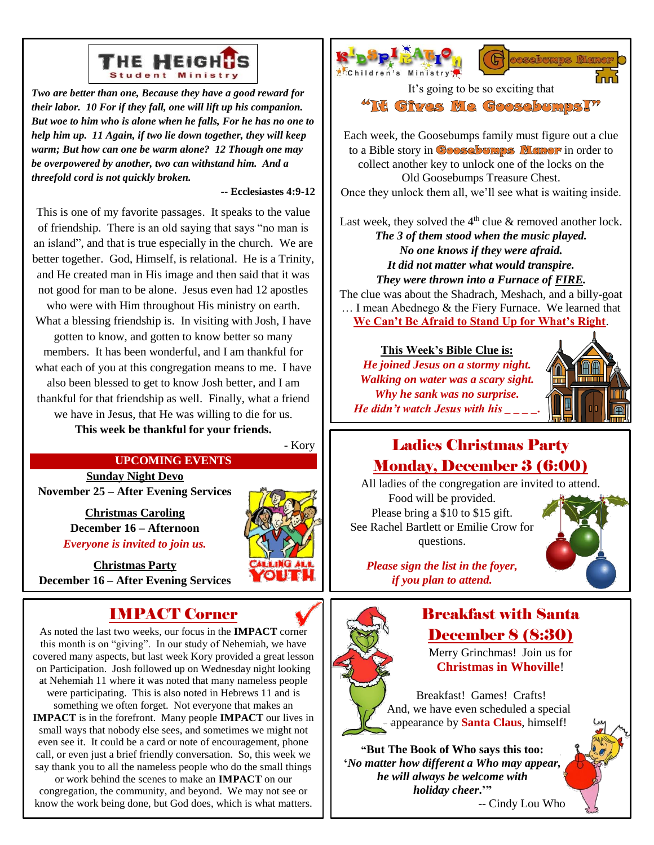

*Two are better than one, Because they have a good reward for their labor. 10 For if they fall, one will lift up his companion. But woe to him who is alone when he falls, For he has no one to help him up. 11 Again, if two lie down together, they will keep warm; But how can one be warm alone? 12 Though one may be overpowered by another, two can withstand him. And a threefold cord is not quickly broken.*

#### **-- Ecclesiastes 4:9-12**

This is one of my favorite passages. It speaks to the value of friendship. There is an old saying that says "no man is an island", and that is true especially in the church. We are better together. God, Himself, is relational. He is a Trinity, and He created man in His image and then said that it was not good for man to be alone. Jesus even had 12 apostles who were with Him throughout His ministry on earth. What a blessing friendship is. In visiting with Josh, I have gotten to know, and gotten to know better so many members. It has been wonderful, and I am thankful for what each of you at this congregation means to me. I have also been blessed to get to know Josh better, and I am thankful for that friendship as well. Finally, what a friend we have in Jesus, that He was willing to die for us.

**This week be thankful for your friends.**

- Kory

#### **UPCOMING EVENTS**

**Sunday Night Devo November 25 – After Evening Services**

> **Christmas Caroling December 16 – Afternoon** *Everyone is invited to join us.*



**Christmas Party December 16 – After Evening Services**

### IMPACT Corner

As noted the last two weeks, our focus in the **IMPACT** corner this month is on "giving". In our study of Nehemiah, we have covered many aspects, but last week Kory provided a great lesson on Participation. Josh followed up on Wednesday night looking at Nehemiah 11 where it was noted that many nameless people were participating. This is also noted in Hebrews 11 and is something we often forget. Not everyone that makes an **IMPACT** is in the forefront. Many people **IMPACT** our lives in small ways that nobody else sees, and sometimes we might not even see it. It could be a card or note of encouragement, phone call, or even just a brief friendly conversation. So, this week we say thank you to all the nameless people who do the small things or work behind the scenes to make an **IMPACT** on our

congregation, the community, and beyond. We may not see or know the work being done, but God does, which is what matters.





It's going to be so exciting that

"It Gives Me GoosebumpsI"

Each week, the Goosebumps family must figure out a clue to a Bible story in **Goosebumps Memor** in order to collect another key to unlock one of the locks on the Old Goosebumps Treasure Chest. Once they unlock them all, we'll see what is waiting inside.

Last week, they solved the  $4<sup>th</sup>$  clue & removed another lock. *The 3 of them stood when the music played. No one knows if they were afraid. It did not matter what would transpire. They were thrown into a Furnace of FIRE.*

The clue was about the Shadrach, Meshach, and a billy-goat … I mean Abednego & the Fiery Furnace. We learned that **We Can't Be Afraid to Stand Up for What's Right**.

**This Week's Bible Clue is:** *He joined Jesus on a stormy night. Walking on water was a scary sight. Why he sank was no surprise. He didn't watch Jesus with his \_ \_ \_ \_.*



### Ladies Christmas Party Monday, December 3 (6:00)

All ladies of the congregation are invited to attend. Food will be provided. Please bring a \$10 to \$15 gift. See Rachel Bartlett or Emilie Crow for questions.



*Please sign the list in the foyer, if you plan to attend.*



### Breakfast with Santa December 8 (8:30)

Merry Grinchmas! Join us for **Christmas in Whoville**!

Breakfast! Games! Crafts! And, we have even scheduled a special appearance by **Santa Claus**, himself!

**"But The Book of Who says this too: '***No matter how different a Who may appear, he will always be welcome with holiday cheer***.'"**

-- Cindy Lou Who